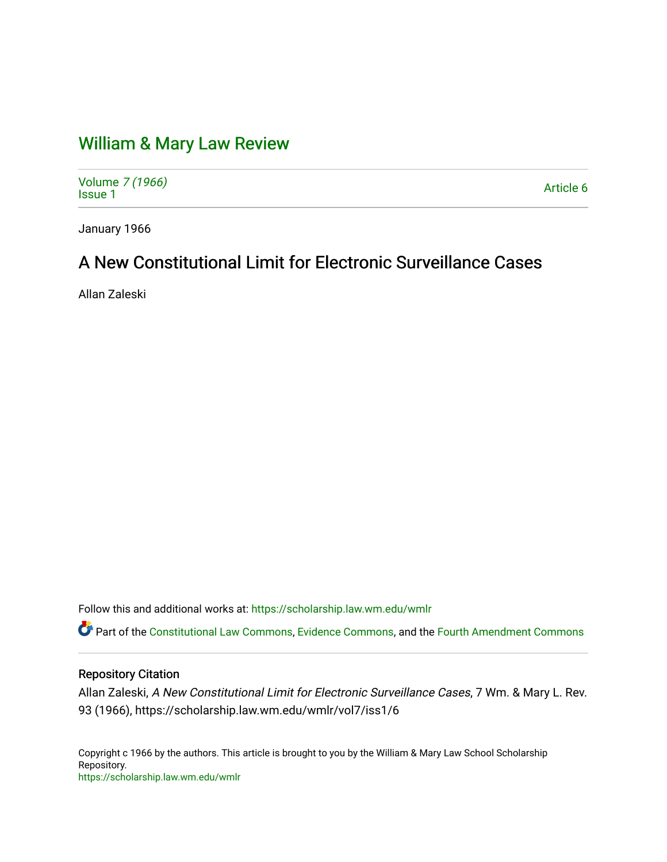# [William & Mary Law Review](https://scholarship.law.wm.edu/wmlr)

Volume [7 \(1966\)](https://scholarship.law.wm.edu/wmlr/vol7) Volume 7 (1900)<br>[Issue 1](https://scholarship.law.wm.edu/wmlr/vol7/iss1) Article 6

January 1966

# A New Constitutional Limit for Electronic Surveillance Cases

Allan Zaleski

Follow this and additional works at: [https://scholarship.law.wm.edu/wmlr](https://scholarship.law.wm.edu/wmlr?utm_source=scholarship.law.wm.edu%2Fwmlr%2Fvol7%2Fiss1%2F6&utm_medium=PDF&utm_campaign=PDFCoverPages)

Part of the [Constitutional Law Commons,](http://network.bepress.com/hgg/discipline/589?utm_source=scholarship.law.wm.edu%2Fwmlr%2Fvol7%2Fiss1%2F6&utm_medium=PDF&utm_campaign=PDFCoverPages) [Evidence Commons,](http://network.bepress.com/hgg/discipline/601?utm_source=scholarship.law.wm.edu%2Fwmlr%2Fvol7%2Fiss1%2F6&utm_medium=PDF&utm_campaign=PDFCoverPages) and the [Fourth Amendment Commons](http://network.bepress.com/hgg/discipline/1180?utm_source=scholarship.law.wm.edu%2Fwmlr%2Fvol7%2Fiss1%2F6&utm_medium=PDF&utm_campaign=PDFCoverPages)

## Repository Citation

Allan Zaleski, A New Constitutional Limit for Electronic Surveillance Cases, 7 Wm. & Mary L. Rev. 93 (1966), https://scholarship.law.wm.edu/wmlr/vol7/iss1/6

Copyright c 1966 by the authors. This article is brought to you by the William & Mary Law School Scholarship Repository. <https://scholarship.law.wm.edu/wmlr>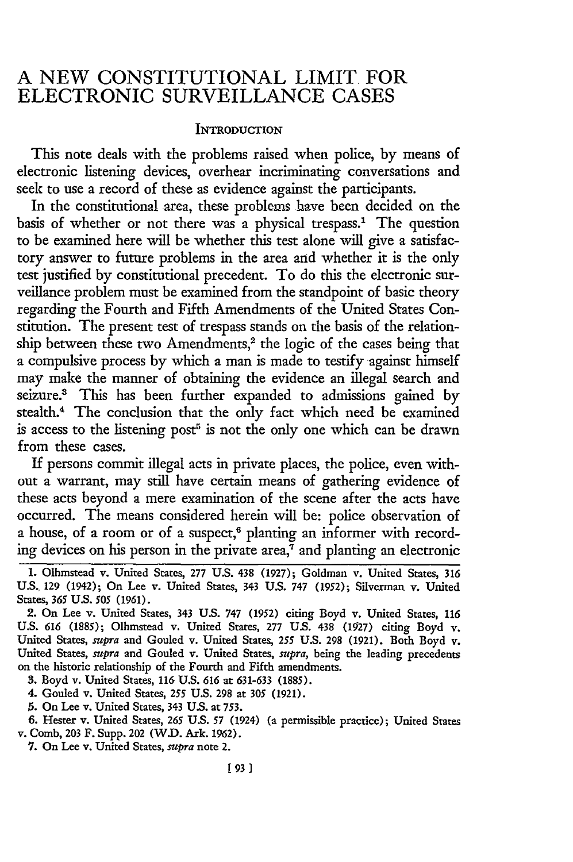# **A NEW** CONSTITUTIONAL LIMIT FOR ELECTRONIC **SURVEILLANCE CASES**

#### INTRODUCTION

This note deals with the problems raised when police, by means of electronic listening devices, overhear incriminating conversations and seek to use a record of these as evidence against the participants.

In the constitutional area, these problems have been decided on the basis of whether or not there was a physical trespass.' The question to be examined here will be whether this test alone will give a satisfactory answer to future problems in the area and whether it is the only test justified by constitutional precedent. To do this the electronic surveillance problem must be examined from the standpoint of basic theory regarding the Fourth and Fifth Amendments of the United States Constitution. The present test of trespass stands on the basis of the relationship between these two Amendments,<sup>2</sup> the logic of the cases being that a compulsive process by which a man is made to testify against himself may make the manner of obtaining the evidence an illegal search and seizure.3 This has been further expanded to admissions gained by stealth.<sup>4</sup> The conclusion that the only fact which need be examined is access to the listening post<sup>5</sup> is not the only one which can be drawn from these cases.

If persons commit illegal acts in private places, the police, even without a warrant, may still have certain means of gathering evidence of these acts beyond a mere examination of the scene after the acts have occurred. The means considered herein will be: police observation of a house, of a room or of a suspect,<sup>6</sup> planting an informer with recording devices on his person in the private area, $\bar{7}$  and planting an electronic

3. Boyd v. United States, 116 U.S. 616 at 631-633 (1885).

4. Gouled v. United States, 255 U.S. **298** at 305 (1921).

*5.* On Lee v. United States, 343 U.S. at 753.

7. On Lee v. United States, *supra* note 2.

<sup>1.</sup> Olhnstead v. United States, 277 U.S. 438 (1927); Goldman v. United States, 316 U.S., 129 (1942); On Lee v. United States, 343 U.S. 747 (1952); Silverman v. United States, 365 U.S. *505* (1961).

<sup>2.</sup> On Lee v. United States, 343 U.S. 747 (1952) citing Boyd v. United States, 116 U.S. 616 (1885); Olhmstead v. United States, 277 U.S. 438 (1927) citing Boyd v. United States, *supra* and Gouled v. United States, 255 U.S. 298 (1921). Both Boyd v. United States, *supra* and Gouled v. United States, *supra,* being the leading precedents on the historic relationship of the Fourth and Fifth amendments.

<sup>6.</sup> Hester v. United States, 265 U.S. 57 (1924) (a permissible practice); United States v. Comb, 203 F. Supp. 202 (W.D. Ark. 1962).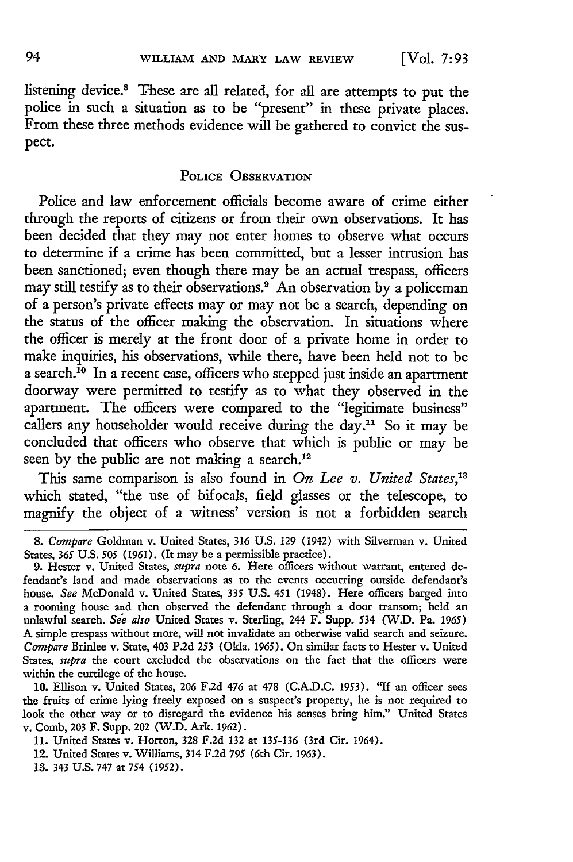listening device.<sup>8</sup> These are all related, for all are attempts to put the police in such a situation as to be "present" in these private places. From these three methods evidence will be gathered to convict the suspect.

#### **POLICE OBSERVATION**

Police and law enforcement officials become aware of crime either through the reports of citizens or from their own observations. It has been decided that they may not enter homes to observe what occurs to determine if a crime has been committed, but a lesser intrusion has been sanctioned; even though there may be an actual trespass, officers may still testify as to their observations.<sup>9</sup> An observation by a policeman of a person's private effects may or may not be a search, depending on the status of the officer making the observation. In situations where the officer is merely at the front door of a private home in order to make inquiries, his observations, while there, have been held not to be a search.<sup>10</sup> In a recent case, officers who stepped just inside an apartment doorway were permitted to testify as to what they observed in the apartment. The officers were compared to the "legitimate business" callers any householder would receive during the day.<sup>11</sup> So it may be concluded that officers who observe that which is public or may be seen by the public are not making a search.<sup>12</sup>

This same comparison is also found in *On Lee v. United States,'3* which stated, "the use of bifocals, field glasses or the telescope, to magnify the object of a witness' version is not a forbidden search

*<sup>8.</sup> Compare* Goldman v. United States, 316 **U.S.** 129 (1942) with Silverman v. United States, *365* U.S. *505* (1961). (It may be a permissible practice).

<sup>9.</sup> Hester v. United States, *supra* note 6. Here officers without warrant, entered defendant's land and made observations as to the events occurring outside defendant's house. *See* McDonald v. United States, 335 U.S. 451 (1948). Here officers barged into a rooming house and then observed the defendant through a door transom; held an unlawful search. *See also* United States v. Sterling, 244 F. Supp. 534 (W.D. Pa. 1965) **A** simple trespass without more, will not invalidate an otherwise valid search and seizure. *Compare* Brinlee v. State, 403 P2d 253 (Okla. 1965). On similar facts to Hester v. United States, *supra* the court excluded the observations on the fact that the officers were within the curtilege of the house.

<sup>10.</sup> Ellison v. United States, 206 F.2d 476 at 478 **(CA.D.C.** 1953). "If an officer sees the fruits of crime lying freely exposed on a suspect's property, he is not required to look the other way or to disregard the evidence his senses bring him:' United States v. Comb, 203 F. Supp. 202 (W.D. Ark. 1962).

<sup>11.</sup> United States v. Horton, 328 F.2d 132 at 135-136 (3rd Cir. 1964).

<sup>12.</sup> United States v. Williams, 314 F.2d 795 (6th Cir. 1963).

**<sup>13.</sup>** 343 U.S. 747 at 754 (1952).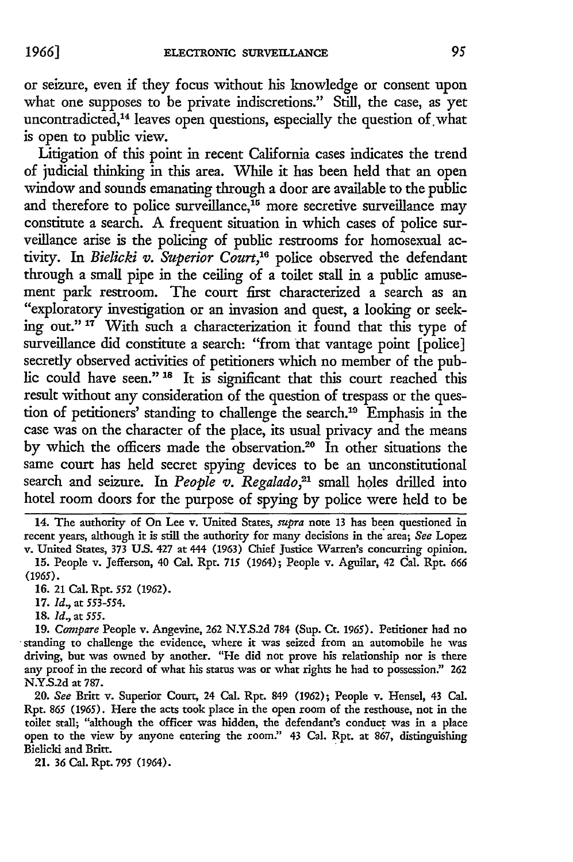or seizure, even if they focus without his knowledge or consent upon what one supposes to be private indiscretions." Still, the case, as yet uncontradicted,<sup>14</sup> leaves open questions, especially the question of what is open to public view.

Litigation of this point in recent California cases indicates the trend of judicial thinking in this area. While it has been held that an open window and sounds emanating through a door are available to the public and therefore to police surveillance,<sup>15</sup> more secretive surveillance may constitute a search. A frequent situation in which cases of police surveillance arise is the policing of public restrooms for homosexual activity. In *Bielicki v. Superior Court,"'* police observed the defendant through a small pipe in the ceiling of a toilet stall in a public amusement park restroom. The court first characterized a search as an "exploratory investigation or an invasion and quest, a looking or seeking out." **17** With such a characterization it found that this type of surveillance did constitute a search: "from that vantage point [police] secretly observed activities of petitioners which no member of the public could have seen." **18** It is significant that this court reached this result without any consideration of the question of trespass or the question of petitioners' standing to challenge the search.<sup>19</sup> Emphasis in the case was on the character of the place, its usual privacy and the means by which the officers made the observation.<sup>20</sup> In other situations the same court has held secret spying devices to be an unconstitutional search and seizure. In *People v. Regalado*,<sup>21</sup> small holes drilled into hotel room doors for the purpose of spying by police were held to be

**18.** *Id.,* at *555.*

19. *Compare* People v. Angevine, 262 N.Y.S.2d 784 (Sup. Ct. 1965). Petitioner had no standing to challenge the evidence, where it was seized from an automobile he was driving, but was owned by another. "He did not prove his relationship nor is there any proof in the record of what his status was or what rights he had to possession.' 262 **N.Y.S.2d** at 787.

20. *See* Britt v. Superior Court, 24 Cal. Rpt. 849 (1962); People v. Hensel, 43 Cal. Rpt. 865 (1965). Here the acts took place in the open room of the resthouse, not in the toilet stall; "although the officer was hidden, the defendant's conduct was in a place open to the view by anyone entering the room." 43 Cal. Rpt. at 867, distinguishing Bielicli and Britt.

21. 36 Cal. Rpt. 795 (1964).

<sup>14.</sup> The authority of On Lee v. United States, *supra* note **13** has been questioned in recent years, although it is still the authority for many decisions in the area; *See* Lopez v. United States, 373 U.S. 427 at 444 (1963) Chief Justice Warren's concurring opinion.

<sup>15.</sup> People v. Jefferson, 40 Cal. Rpt. *715* (1964); People v. Aguilar, 42 Cal. Rpt. *666 (1965).*

<sup>16. 21</sup> Cal. Rpt. 552 (1962).

**<sup>17.</sup>** *Id.,* at 553-554.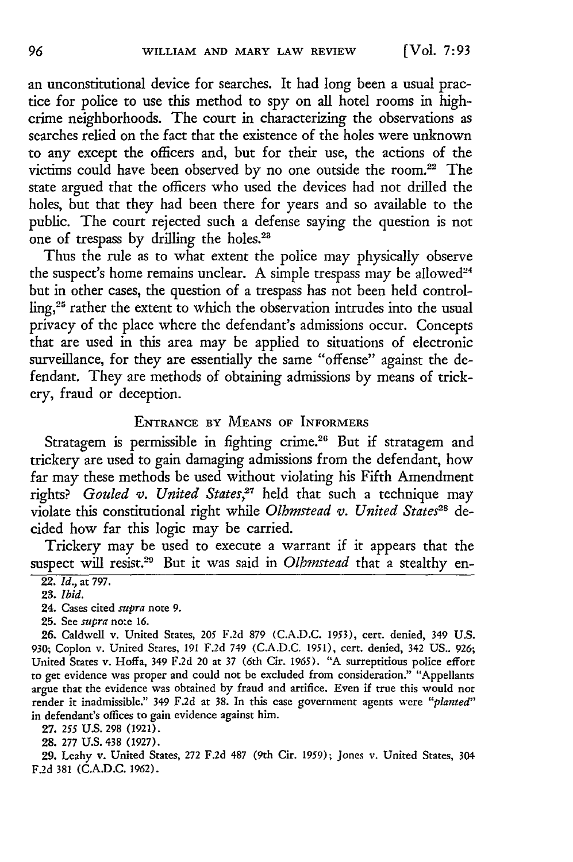an unconstitutional device for searches. It had long been a usual practice for police to use this method to spy on all hotel rooms in highcrime neighborhoods. The court in characterizing the observations as searches relied on the fact that the existence of the holes were unknown to any except the officers and, but for their use, the actions of the victims could have been observed by no one outside the room.<sup>22</sup> The state argued that the officers who used the devices had not drilled the holes, but that they had been there for years and so available to the public. The court rejected such a defense saying the question is not one of trespass by drilling the holes.<sup>23</sup>

Thus the rule as to what extent the police may physically observe the suspect's home remains unclear. A simple trespass may be allowed<sup>24</sup> but in other cases, the question of a trespass has not been held controlling,25 rather the extent to which the observation intrudes into the usual privacy of the place where the defendant's admissions occur. Concepts that are used in this area may be applied to situations of electronic surveillance, for they are essentially the same "offense" against the defendant. They are methods of obtaining admissions by means of trickery, fraud or deception.

## ENTRANCE BY **MEANS** OF INFORMERS

Stratagem is permissible in fighting crime.<sup>26</sup> But if stratagem and trickery are used to gain damaging admissions from the defendant, how far may these methods be used without violating his Fifth Amendment rights? *Gouled v. United States,"'* held that such a technique may violate this constitutional right while *Olhmstead v. United States*<sup>28</sup> decided how far this logic may be carried.

Trickery may be used to execute a warrant if it appears that the suspect will resist.<sup>29</sup> But it was said in *Olhmstead* that a stealthy en-

25. See *svpra* note 16.

26. Caldwell v. United States, 205 F.2d 879 (C.A.D.C. 1953), cert. denied, 349 U.S. 930; Coplon v. United Stares, 191 F.2d 749 (C.A.D.C. 1951), cert. denied, 342 US.. 926; United States v. Hoffa, 349 F.2d 20 at 37 (6th Cir. 1965). "A surreptitious police effort to get evidence was proper and could not be excluded from consideration." "Appellants argue that the evidence was obtained by fraud and artifice. Even if true this would not render it inadmissible." 349 F.2d at 38. In this case government agents were *"planted"* in defendant's offices to gain evidence against him.

27. *255* **US.** 298 (1921).

28. 277 U.S. 438 (1927).

29. Leahy v. United States, 272 F.2d 487 (9th Cir. 1959); Jones v. United States, 304 F.2d 381 (C.A.D.C. 1962).

<sup>22.</sup> *Id.,* at 797.

*<sup>23.</sup> Ibid.*

<sup>24.</sup> Cases cited *supra* note 9.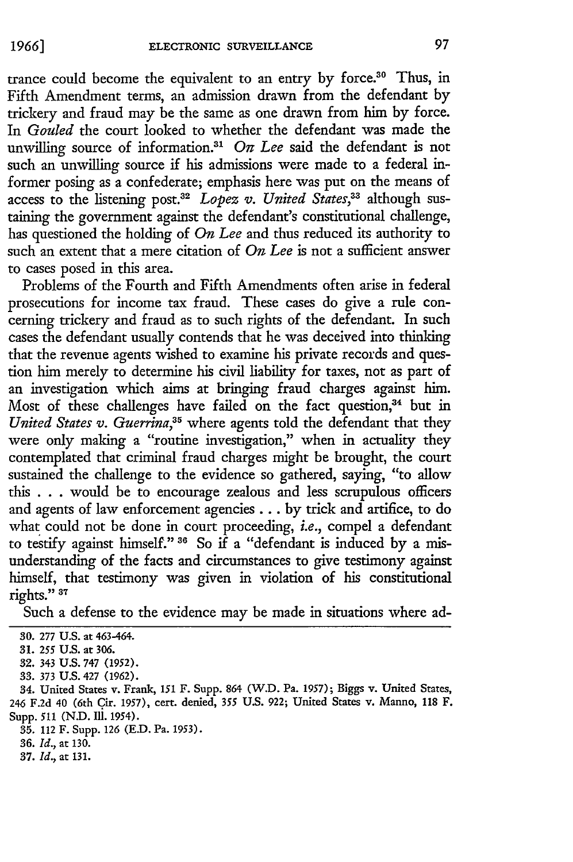trance could become the equivalent to an entry by force.<sup>30</sup> Thus, in Fifth Amendment terms, an admission drawn from the defendant by trickery and fraud may be the same as one drawn from him by force. In *Gouled* the court looked to whether the defendant was made the unwilling source of information.<sup>31</sup> On Lee said the defendant is not such an unwilling source if his admissions were made to a federal informer posing as a confederate; emphasis here was put on the means of access to the listening post.<sup>32</sup> Lopez v. United States,<sup>33</sup> although sustaining the government against the defendant's constitutional challenge, has questioned the holding of *On Lee* and thus reduced its authority to such an extent that a mere citation of *On Lee* is not a sufficient answer to cases posed in this area.

Problems of the Fourth and Fifth Amendments often arise in federal prosecutions for income tax fraud. These cases do give a rule concerning trickery and fraud as to such rights of the defendant. In such cases the defendant usually contends that he was deceived into thinking that the revenue agents wished to examine his private records and question him merely to determine his civil liability for taxes, not as part of an investigation which aims at bringing fraud charges against him. Most of these challenges have failed on the fact question,<sup>34</sup> but in *United States v. Guerrina,35* where agents told the defendant that they were only making a "routine investigation," when in actuality they contemplated that criminal fraud charges might be brought, the court sustained the challenge to the evidence so gathered, saying, "to allow this . . . would be to encourage zealous and less scrupulous officers and agents of law enforcement agencies.., by trick and artifice, to do what could not be done in court proceeding, *i.e.,* compel a defendant to testify against himself." 36 So if a "defendant is induced by a misunderstanding of the facts and circumstances to give testimony against himself, that testimony was given in violation of his constitutional rights."<sup>37</sup>

Such a defense to the evidence may be made in situations where ad-

**35.** 112 F. Supp. 126 **(ED.** Pa. 1953).

**36.** *Id.,* at **130.**

**<sup>30.</sup>** 277 U.S. at 463-464.

**<sup>31. 255</sup>** U.S. at **306.**

<sup>32. 343</sup> **U.S.** 747 (1952).

**<sup>33.</sup>** 373 U.S. 427 (1962).

<sup>34.</sup> United States v. Frank, 151 F. Supp. 864 (W.D. Pa. 1957); Biggs v. United States, 246 **F.2d** 40 (6th Cir. 1957), cert. denied, 355 U.S. 922; United States v. Manno, 118 F. Supp. 511 (N.D. Ill. 1954).

**<sup>37.</sup>** *Id.,* at 131.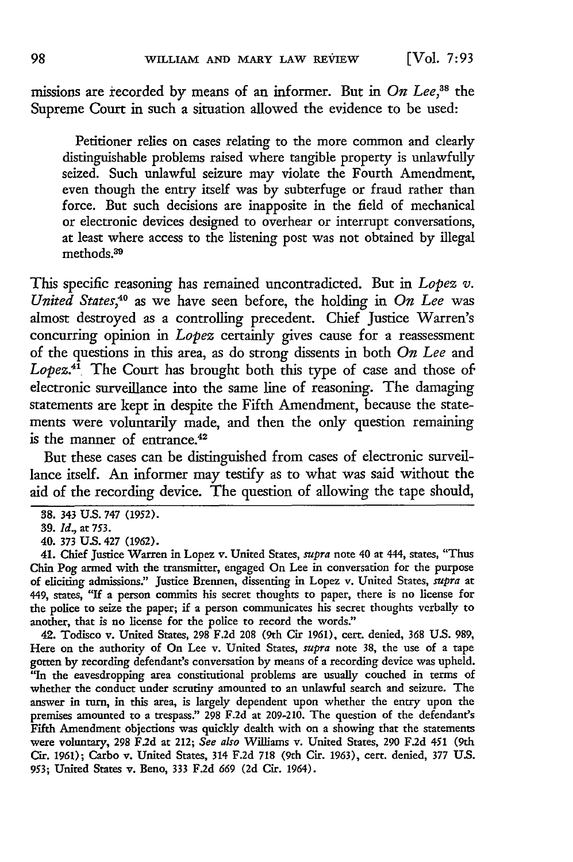missions are recorded by means of an informer. But in *On Lee*,<sup>38</sup> the Supreme Court in such a situation allowed the evidence to be used:

Petitioner relies on cases relating to the more common and clearly distinguishable problems raised where tangible property is unlawfully seized. Such unlawful seizure may violate the Fourth Amendment, even though the entry itself was by subterfuge or fraud rather than force. But such decisions are inapposite in the field of mechanical or electronic devices designed to overhear or interrupt conversations, at least where access to the listening post was not obtained by illegal methods.39

This specific reasoning has remained uncontradicted. But in *Lopez v. United States,40* as we have seen before, the holding in *On Lee* was almost destroyed as a controlling precedent. Chief Justice Warren's concurring opinion in *Lopez* certainly gives cause for a reassessment of the questions in this area, as do strong dissents in both *On Lee* and *Lopez.4'* The Court has brought both this type of case and those of electronic surveillance into the same line of reasoning. The damaging statements are kept in despite the Fifth Amendment, because the statements were voluntarily made, and then the only question remaining is the manner of entrance.<sup>42</sup>

But these cases can be distinguished from cases of electronic surveillance itself. An informer may testify as to what was said without the aid of the recording device. The question of allowing the tape should,

42. Todisco v. United States, **298 F.2d 208** (9th Cir **1961),** cert. denied, **368 U.S. 989,** Here on the authority of On Lee v. United States, *supra* note **38,** the use of a tape gotten **by** recording defendant's conversation **by** means of a recording device was upheld. "In the eavesdropping area constitutional problems are usually couched in terms of whether the conduct under scrutiny amounted to an unlawful search and seizure. The answer in turn, in this area, is largely dependent upon whether the entry upon the premises amounted to a trespass." **298 F.2d** at **209-210.** The question of the defendant's Fifth Amendment objections was quickly dealth with on a showing that the statements were voluntary, **298 F.2d** at 212; *See also* Williams v. United States, **290 F.2d** *451* (9th Cir. **1961);** Carbo v. United States, 314 **F.2d 718** (9th Cir. **1963),** cert. denied, **377 US.** 953; United States v. Beno, **333 F.2d 669 (2d** Cir. 1964).

<sup>38. 343</sup> U.S. **747** (1952).

**<sup>39.</sup>** *Id.,* at 753.

**<sup>40. 373</sup> U.S.** 427 **(1962).**

<sup>41.</sup> Chief Justice Warren in Lopez v. United States, *supra* note 40 at 444, states, "Thus Chin Pog armed with the transmitter, engaged On Lee in conversation for the purpose of eliciting admissions:' Justice Brennen, dissenting in Lopez v. United States, *supra* at 449, states, **"If** a person commits his secret thoughts to paper, there is no license for the police to seize the paper; if a person communicates his secret thoughts verbally to another, that is no license for the police to record the words."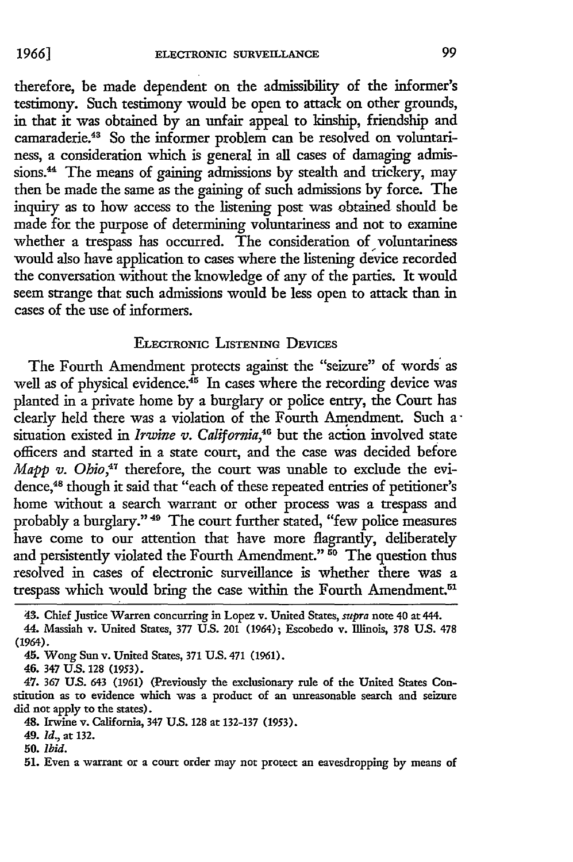therefore, be made dependent on the admissibility of the informer's testimony. Such testimony would be open to attack on other grounds, in that it was obtained by an unfair appeal to kinship, friendship and camaraderie.<sup>43</sup> So the informer problem can be resolved on voluntariness, a consideration which is general in all cases of damaging admissions.<sup>44</sup> The means of gaining admissions by stealth and trickery, may then be made the same as the gaining of such admissions by force. The inquiry as to how access to the listening post was obtained should be made fbr the purpose of determining voluntariness and not to examine whether a trespass has occurred. The consideration of voluntariness would also have application to cases where the listening device recorded the conversation without the knowledge of any of the parties. It would seem strange that such admissions would be less open to attack than in cases of the use of informers.

## ELECTRONIC **LISTENING** DEvicEs

The Fourth Amendment protects against the "seizure" of words as well as of physical evidence.<sup>45</sup> In cases where the recording device was planted in a private home by a burglary or police entry, the Court has clearly held there was a violation of the Fourth Amendment. Such a situation existed in *Irwine v. California*,<sup>46</sup> but the action involved state officers and started in a state court, and the case was decided before *Mapp v. Ohio*,<sup>47</sup> therefore, the court was unable to exclude the evidence,<sup>48</sup> though it said that "each of these repeated entries of petitioner's home without a search warrant or other process was a trespass and probably a burglary." <sup>49</sup> The court further stated, "few police measures have come to our attention that have more flagrantly, deliberately and persistently violated the Fourth Amendment."<sup>50</sup> The question thus resolved in cases of electronic surveillance is whether there was a trespass which would bring the case within the Fourth Amendment.<sup>51</sup>

49. *Id.,* at 132.

**50.** *Ibid.*

**51.** Even a warrant or a court order may not protect an eavesdropping **by** means of

<sup>43.</sup> Chief Justice Warren concurring in Lopez v. United States, *supra* note 40 at 444.

<sup>44.</sup> Massiah v. United States, **377 U.S.** 201 (1964); Escobedo v. Illinois, **378 U.S. 478** (1964).

<sup>45.</sup> Wong Sun v. United States, 371 **U.S.** 471 **(1961).**

<sup>46. 347</sup> **U.S. 128** (1953).

<sup>47.</sup> **367 US.** 643 (1961) (Previously the exclusionary rule of the United States Constitution as to evidence which was a product of an unreasonable search and seizure did not apply to the states).

<sup>48.</sup> Irwine v. California, 347 **U.S. 128** at 132-137 (1953).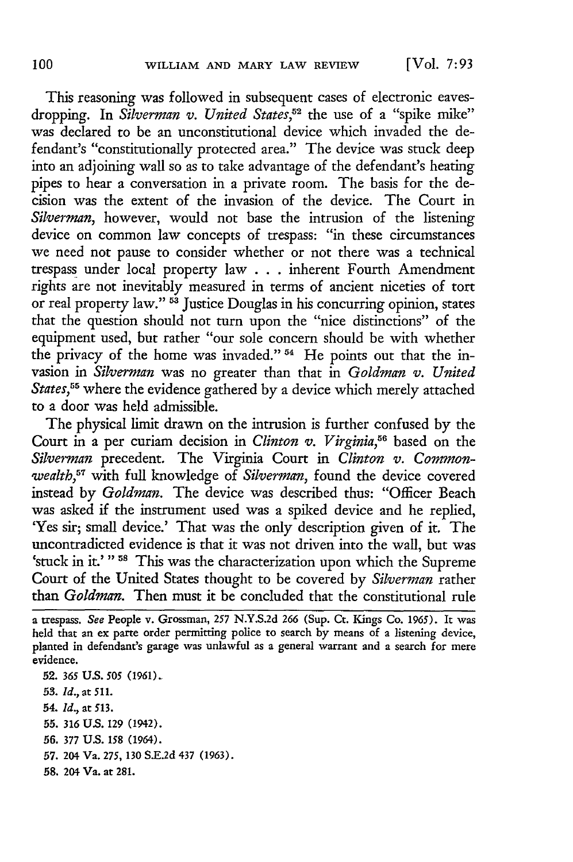This reasoning was followed in subsequent cases of electronic eavesdropping. In *Silverman v. United States,52* the use of a "spike mike" was declared to be an unconstitutional device which invaded the defendant's "constitutionally protected area." The device was stuck deep into an adjoining wall so as to take advantage of the defendant's heating pipes to hear a conversation in a private room. The basis for the decision was the extent of the invasion of the device. The Court in *Silverman,* however, would not base the intrusion of the listening device on common law concepts of trespass: "in these circumstances we need not pause to consider whether or not there was a technical trespass under local property law . . . inherent Fourth Amendment rights are not inevitably measured in terms of ancient niceties of tort or real property law." **-** Justice Douglas in his concurring opinion, states that the question should not turn upon the "nice distinctions" of the equipment used, but rather "our sole concern should be with whether the privacy of the home was invaded." <sup>54</sup> He points out that the invasion in *Silverman* was no greater than that in *Goldman v. United States,55* where the evidence gathered by a device which merely attached to a door was held admissible.

The physical limit drawn on the intrusion is further confused **by** the Court in a per curiam decision in *Clinton v. Virginia,56* based on the *Silverman* precedent. The Virginia Court in *Clinton v. Commonwealth,57* with full knowledge of *Silverman,* found the device covered instead **by** *Goldman.* The device was described thus: "Officer Beach was asked if the instrument used was a spiked device and he replied, 'Yes sir; small device.' That was the only description given of it. The uncontradicted evidence is that it was not driven into the wall, but was 'stuck in it.' "<sup>58</sup> This was the characterization upon which the Supreme Court of the United States thought to be covered by *Silverman* rather than *Goldman.* Then must it be concluded that the constitutional rule

- **52.** *365* **US. 505** *(1961).*
- **53.** *id.,* at **511.**
- 54. *Id.,* at **513.**
- **55.** *316 US.* 129 (1942).
- **56. 377** U.S. **158** (1964).
- **57.** 204 Va. 275, **130** S.E.2d 437 (1963).
- **58.** 204 Va. at 281.

*a* trespass. *See* People v. Grossman, 257 N.Y.S.2d *266* (Sup. Ct. Kings Co. 1965). It was held that an ex parte order permitting police to search by means of a listening device, planted in defendant's garage was unlawful as a general warrant and a search for mere evidence.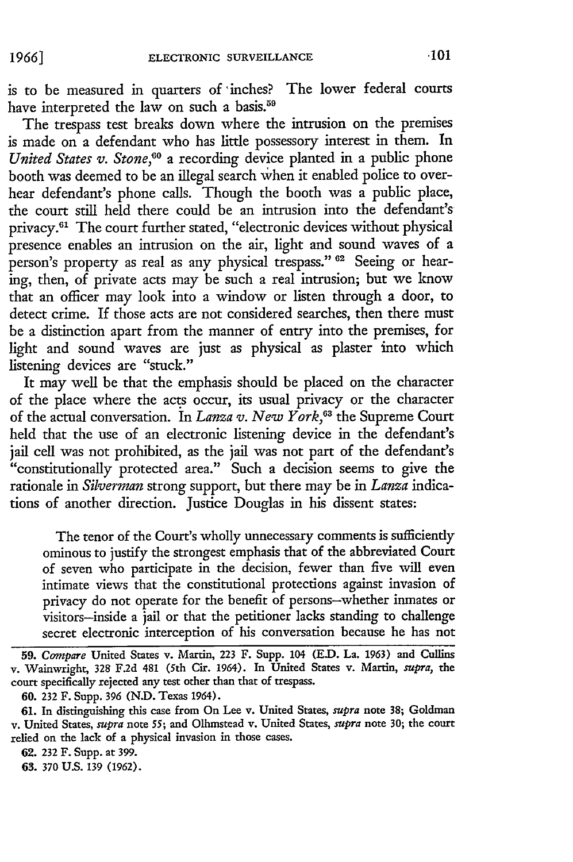is to be measured in quarters of 'inches? The lower federal courts have interpreted the law on such a basis.<sup>59</sup>

The trespass test breaks down where the intrusion on the premises is made on a defendant who has little possessory interest in them. In United States v. Stone,<sup>60</sup> a recording device planted in a public phone booth was deemed to be an illegal search when it enabled police to overhear defendant's phone calls. Though the booth was a public place, the court still held there could be an intrusion into the defendant's privacy.61 The court further stated, "electronic devices without physical presence enables an intrusion on the air, light and sound waves of a person's property as real as any physical trespass." **02** Seeing or hearing, then, of private acts may be such a real intrusion; but we know that an officer may look into a window or listen through a door, to detect crime. If those acts are not considered searches, then there must be a distinction apart from the manner of entry into the premises, for light and sound waves are just as physical as plaster into which listening devices are "stuck."

It may well be that the emphasis should be placed on the character of the place where the acts occur, its usual privacy or the character of the actual conversation. In *Lanza v. New York,6 <sup>3</sup>*the Supreme Court held that the use of an electronic listening device in the defendant's jail cell was not prohibited, as the jail was not part of the defendant's "constitutionally protected area." Such a decision seems to give the rationale in *Silverman* strong support, but there may be in *Lanza* indications of another direction. Justice Douglas in his dissent states:

The tenor of the Court's wholly unnecessary comments is sufficiently ominous to justify the strongest emphasis that of the abbreviated Court of seven who participate in the decision, fewer than five will even intimate views that the constitutional protections against invasion of privacy do not operate for the benefit of persons-whether inmates or visitors-inside a jail or that the petitioner lacks standing to challenge secret electronic interception of his conversation because he has not

**62. 232** F. Supp. at 399.

**63. 370** U.S. 139 (1962).

**<sup>59.</sup>** *Compare* United States v. Martin, 223 F. Supp. 104 **(ED.** La. **1963)** and Cullins v. Wainwright, 328 **F.2d** 481 (5th Cir. 1964). In United States v. Martin, *supra, the* court specifically rejected any test other than that of trespass.

**<sup>60.</sup>** 232 F. Supp. **396 (N.D.** Texas 1964).

<sup>61.</sup> In distinguishing this case from On Lee v. United States, **supra** note **38;** Goldman v. United States, *supra* note **55;** and Olhmstead v. United States, *supra* note **30;** the court relied on the lack of a physical invasion in those cases.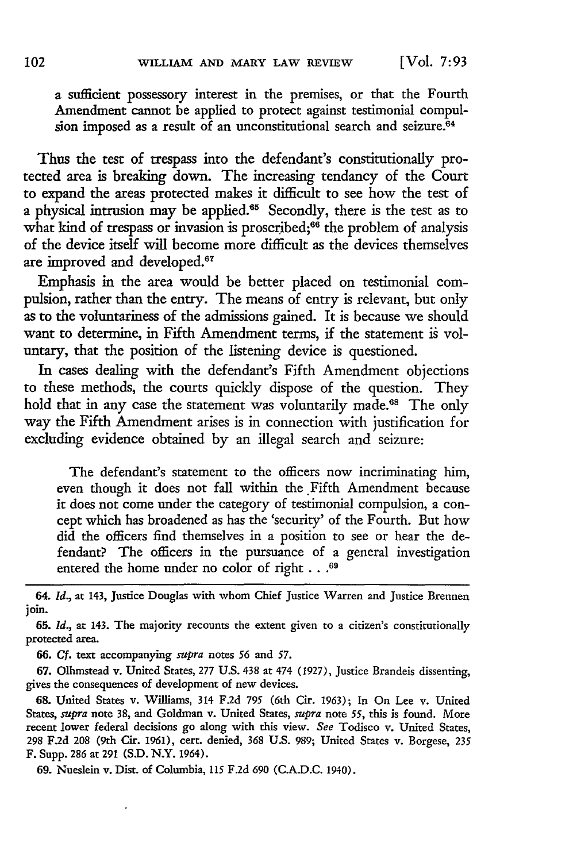a sufficient possessory interest in the premises, or that the Fourth Amendment cannot be applied to protect against testimonial compulsion imposed as a result of an unconstitutional search and seizure.<sup>64</sup>

Thus the test of trespass into the defendant's constitutionally protected area is breaking down. The increasing tendancy of the Court to expand the areas protected makes it difficult to see how the test of a physical intrusion may be applied.<sup>65</sup> Secondly, there is the test as to what kind of trespass or invasion is proscribed;<sup>66</sup> the problem of analysis of the device itself will become more difficult as the devices themselves are improved and developed.<sup>67</sup>

Emphasis in the area would be better placed on testimonial compulsion, rather than the entry. The means of entry is relevant, but only as to the voluntariness of the admissions gained. It is because we should want to determine, in Fifth Amendment terms, if the statement is voluntary, that the position of the listening device is questioned.

In cases dealing with the defendant's Fifth Amendment objections to these methods, the courts quickly dispose of the question. They hold that in any case the statement was voluntarily made.<sup>68</sup> The only way the Fifth Amendment arises is in connection with justification for excluding evidence obtained by an illegal search and seizure:

The defendant's statement to the officers now incriminating him, even though it does not fall within the Fifth Amendment because it does not come under the category of testimonial compulsion, a concept which has broadened as has the 'security' of the Fourth. But how did the officers find themselves in a position to see or hear the defendant? The officers in the pursuance of a general investigation entered the home under no color of right **... 69**

64. *Id.,* at 143, Justice Douglas with whom Chief Justice Warren and Justice Brennen join.

**65.** *id.,* at 143. The majority recounts the extent given to a citizen's constitutionally protected area.

**66. Cf.** text accompanying *supra* notes *56* and *57.*

**67.** Olhmstead v. United States, 277 U.S. 438 at 474 (1927), Justice Brandeis dissenting, gives the consequences of development of new devices.

**68.** United States v. Williams, 314 F.2d *795* (6th Cir. 1963); In On Lee v. United States, *supra* note 38, and Goldman v. United States, *supra* note 55, this is found. More recent lower federal decisions go along with this view. *See* Todisco v. United States, 298 **F.2d** 208 (9th Cir. 1961), cert. denied, 368 U.S. 989; United States v. Borgese, 235 F. Supp. 286 at 291 (S.D. N.Y. 1964).

**69.** Nueslein v. Dist. of Columbia, **115** F.2d 690 (C.A.D.C. 1940).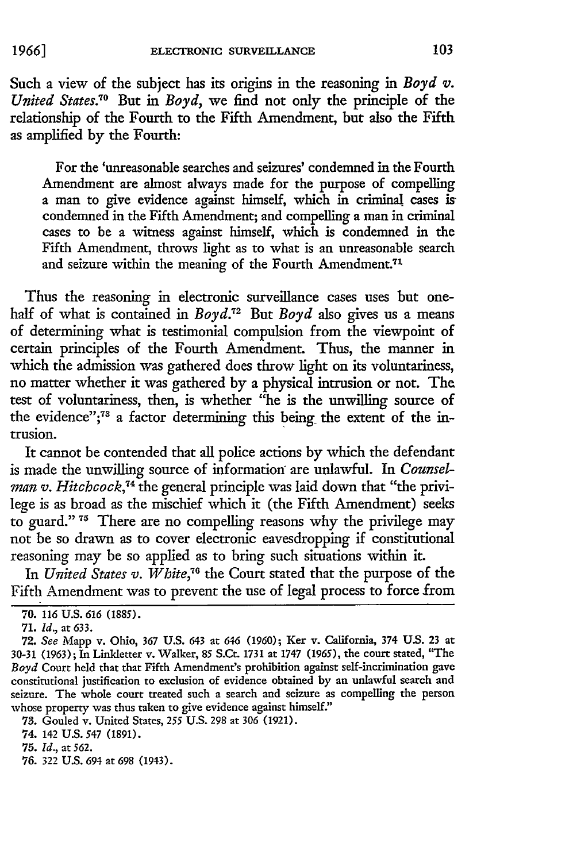Such a view of the subject has its origins in the reasoning in *Boyd* v. *United States.70* But in *Boyd,* we find not only the principle of the relationship of the Fourth to the Fifth Amendment, but also the Fifth as amplified by the Fourth:

For the 'unreasonable searches and seizures' condemned in the Fourth Amendment are almost always made for the purpose of compelling a man to give evidence against himself, which in criminal cases iscondemned in the Fifth Amendment; and compelling a man in criminal cases to be a witness against himself, which is condemned in the Fifth Amendment, throws light as to what is an unreasonable search and seizure within the meaning of the Fourth Amendment.<sup>71</sup>

Thus the reasoning in electronic surveillance cases uses but onehalf of what is contained in *Boyd.72* But *Boyd* also gives us a means of determining what is testimonial compulsion from the viewpoint of certain principles of the Fourth Amendment. Thus, the manner in which the admission was gathered does throw light on its voluntariness, no matter whether it was gathered by a physical intrusion or not. The test of voluntariness, then, is whether "he is the unwilling source of the evidence";<sup>73</sup> a factor determining this being the extent of the intrusion.

It cannot be contended that all police actions by which the defendant is made the unwilling source of information are unlawful. In *Counselman v. Hitchcock,74* the general principle was laid down that "the privilege is as broad as the mischief which it (the Fifth Amendment) seeks to guard." **<sup>75</sup>**There are no compelling reasons why the privilege may not be so drawn as to cover electronic eavesdropping if constitutional reasoning may be so applied as to bring such situations within it.

In *United States v. White,*<sup>76</sup> the Court stated that the purpose of the Fifth Amendment was to prevent the use of legal process to force from

74. 142 U.S. 547 (1891).

76. 322 U.S. 694 at 698 (1943).

**<sup>70.</sup>** 116 U.S. *616* (1885).

**<sup>71.</sup>** *Id.,* at 633.

**<sup>72.</sup>** *See* Mapp v. Ohio, 367 **U.S.** 643 at *646* (1960); Ker v. California, 374 **US.** 23 at 30-31 (1963); In Linkletter v. Walker, 85 S.Ct. 1731 at **1747** (1965), the court stated, "The *Boyd* Court held that that Fifth Amendment's prohibition against self-incrimination gave constitutional justification to exclusion of evidence obtained by an unlawful search and seizure. The whole court treated such a search and seizure as compelling the person whose property was thus taken to give evidence against himself."

**<sup>73.</sup>** Gouled v. United States, 255 U.S. 298 at 306 (1921).

<sup>75.</sup> *Id.,* at *562.*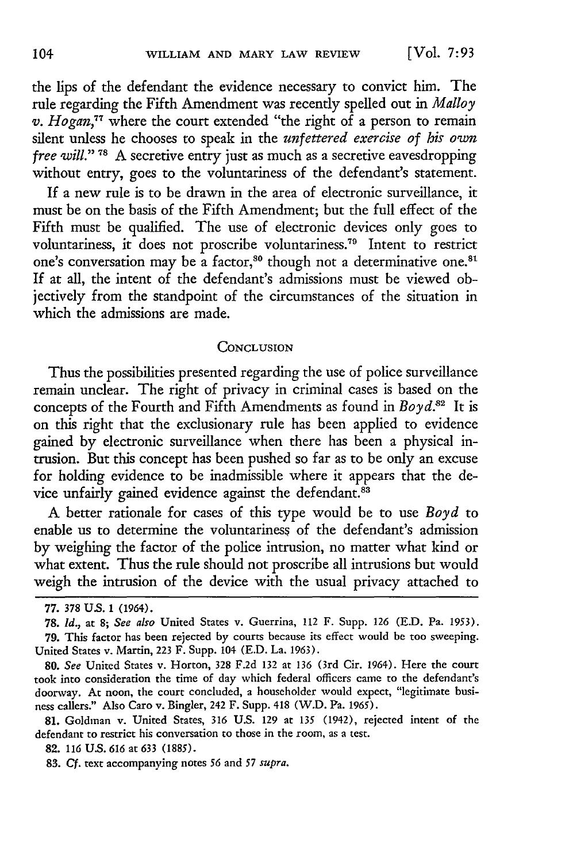the lips of the defendant the evidence necessary to convict him. The rule regarding the Fifth Amendment was recently spelled out in *Malloy v. Hogan,77* where the court extended "the right of a person to remain silent unless he chooses to speak in the *unfettered exercise of his own free will."* **78** A secretive entry just as much as a secretive eavesdropping without entry, goes to the voluntariness of the defendant's statement.

If a new rule is to be drawn in the area of electronic surveillance, it must be on the basis of the Fifth Amendment; but the full effect of the Fifth must be qualified. The use of electronic devices only goes to voluntariness, it does not proscribe voluntariness.<sup>79</sup> Intent to restrict one's conversation may be a factor,<sup>80</sup> though not a determinative one.<sup>81</sup> If at all, the intent of the defendant's admissions must be viewed objectively from the standpoint of the circumstances of the situation in which the admissions are made.

#### **CONCLUSION**

Thus the possibilities presented regarding the use of police surveillance remain unclear. The right of privacy in criminal cases is based on the concepts of the Fourth and Fifth Amendments as found in *Boyd*.<sup>82</sup> It is on this right that the exclusionary rule has been applied to evidence gained by electronic surveillance when there has been a physical intrusion. But this concept has been pushed so far as to be only an excuse for holding evidence to be inadmissible where it appears that the device unfairly gained evidence against the defendant.<sup>83</sup>

A better rationale for cases of this type would be to use *Boyd* to enable us to determine the voluntariness of the defendant's admission **by** weighing the factor of the police intrusion, no matter what kind or what extent. Thus the rule should not proscribe all intrusions but would weigh the intrusion of the device with the usual privacy attached to

**<sup>77. 378</sup> US.** 1 (1964).

**<sup>78.</sup>** *Id.,* at **8;** *See also* United States v. Guerrina, 112 F. Supp. 126 (E.D. Pa. **1953). 79.** This factor has been rejected by courts because its effect would be too sweeping. United States v. Martin, **223** F. Supp. 104 (E.D. La. **1963).**

<sup>80.</sup> *See* United States v. Horton, 328 F.2d 132 at 136 (3rd Cir. 1964). Here the court took into consideration the time of day which federal officers came to the defendant's doorway. At noon, the court concluded, a householder would expect, "legitimate business callers." Also Caro v. Bingler, 242 F. Supp. 418 (W.D. Pa. 1965).

<sup>81.</sup> Goldman v. United States, 316 U.S. 129 at 135 (1942), rejected intent of the defendant to restrict his conversation to those in the room, as a test.

**<sup>82.</sup>** *116* **US.** *616* at 633 (1885).

**<sup>83.</sup>** *Cf.* text accompanying notes *56* and *57 supra.*